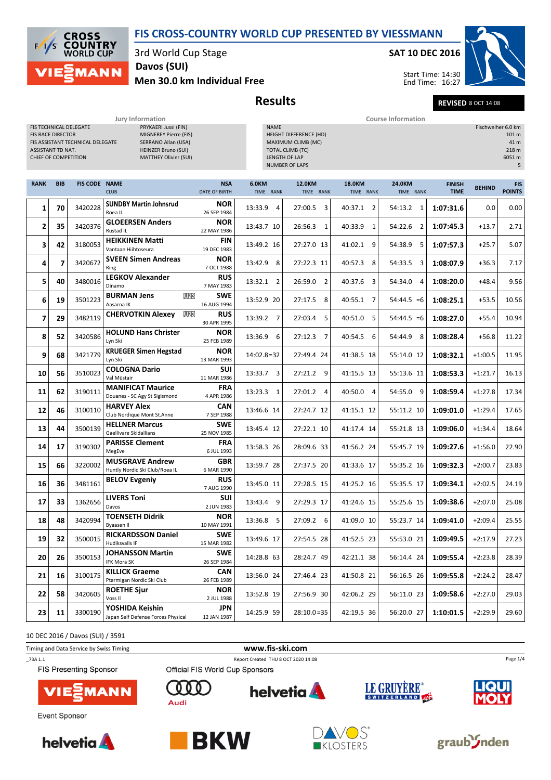#### FIS CROSS-COUNTRY WORLD CUP PRESENTED BY VIESSMANN

**CROSS COUNTRY WORLD CUP MANN** 

3rd World Cup Stage

## Davos (SUI)

Men 30.0 km Individual Free

# Results Revised 8 OCT 14:08

|                                                                       |            |                                                            | Jury Information                                                                                                                   |                                    |                           |                                                                                                                                 |                            | <b>Course Information</b> |                              |               |                                                             |
|-----------------------------------------------------------------------|------------|------------------------------------------------------------|------------------------------------------------------------------------------------------------------------------------------------|------------------------------------|---------------------------|---------------------------------------------------------------------------------------------------------------------------------|----------------------------|---------------------------|------------------------------|---------------|-------------------------------------------------------------|
| <b>FIS RACE DIRECTOR</b><br>ASSISTANT TD NAT.<br>CHIEF OF COMPETITION |            | FIS TECHNICAL DELEGATE<br>FIS ASSISTANT TECHNICAL DELEGATE | PRYKAERI Jussi (FIN)<br>MIGNEREY Pierre (FIS)<br>SERRANO Allan (USA)<br><b>HEINZER Bruno (SUI)</b><br><b>MATTHEY Olivier (SUI)</b> |                                    | <b>NAME</b>               | <b>HEIGHT DIFFERENCE (HD)</b><br>MAXIMUM CLIMB (MC)<br><b>TOTAL CLIMB (TC)</b><br><b>LENGTH OF LAP</b><br><b>NUMBER OF LAPS</b> |                            |                           |                              |               | Fischweiher 6.0 km<br>101 m<br>41 m<br>218 m<br>6051 m<br>5 |
| <b>RANK</b>                                                           | <b>BIB</b> | <b>FIS CODE NAME</b>                                       | <b>CLUB</b>                                                                                                                        | <b>NSA</b><br><b>DATE OF BIRTH</b> | 6.0KM<br>TIME RANK        | 12.0KM<br>TIME RANK                                                                                                             | <b>18.0KM</b><br>TIME RANK | 24.0KM<br>TIME RANK       | <b>FINISH</b><br><b>TIME</b> | <b>BEHIND</b> | <b>FIS</b><br><b>POINTS</b>                                 |
| 1                                                                     | 70         | 3420228                                                    | <b>SUNDBY Martin Johnsrud</b><br>Roea IL                                                                                           | <b>NOR</b><br>26 SEP 1984          | 13:33.9<br>4              | 3<br>27:00.5                                                                                                                    | 40:37.1 2                  | 54:13.2<br>1              | 1:07:31.6                    | 0.0           | 0.00                                                        |
| $\mathbf{2}$                                                          | 35         | 3420376                                                    | <b>GLOEERSEN Anders</b><br>Rustad IL                                                                                               | <b>NOR</b><br>22 MAY 1986          | 13:43.7 10                | 26:56.3<br>$\mathbf{1}$                                                                                                         | 40:33.9<br>1               | 54:22.6<br>$\overline{2}$ | 1:07:45.3                    | $+13.7$       | 2.71                                                        |
| 3                                                                     | 42         | 3180053                                                    | <b>HEIKKINEN Matti</b><br>Vantaan Hiihtoseura                                                                                      | <b>FIN</b><br>19 DEC 1983          | 13:49.2 16                | 27:27.0 13                                                                                                                      | 41:02.1 9                  | 54:38.9<br>5              | 1:07:57.3                    | $+25.7$       | 5.07                                                        |
| 4                                                                     | 7          | 3420672                                                    | <b>SVEEN Simen Andreas</b><br>Ring                                                                                                 | <b>NOR</b><br>7 OCT 1988           | 13:42.9<br>8              | 27:22.3 11                                                                                                                      | 40:57.3 8                  | 54:33.5<br>3              | 1:08:07.9                    | $+36.3$       | 7.17                                                        |
| 5                                                                     | 40         | 3480016                                                    | <b>LEGKOV Alexander</b><br>Dinamo                                                                                                  | <b>RUS</b><br>7 MAY 1983           | 13:32.1<br>2              | 26:59.0<br>$\overline{2}$                                                                                                       | 40:37.6 3                  | 54:34.0<br>$\overline{4}$ | 1:08:20.0                    | $+48.4$       | 9.56                                                        |
| 6                                                                     | 19         | 3501223                                                    | <b>BURMAN Jens</b><br>U23<br>Aasarna IK                                                                                            | <b>SWE</b><br>16 AUG 1994          | 13:52.9 20                | 8<br>27:17.5                                                                                                                    | 40:55.1 7                  | $54:44.5 = 6$             | 1:08:25.1                    | $+53.5$       | 10.56                                                       |
| $\overline{ }$                                                        | 29         | 3482119                                                    | <b>CHERVOTKIN Alexey</b><br>U23                                                                                                    | <b>RUS</b><br>30 APR 1995          | 13:39.2 7                 | 27:03.4<br>5                                                                                                                    | 40:51.0 5                  | $54:44.5 = 6$             | 1:08:27.0                    | $+55.4$       | 10.94                                                       |
| 8                                                                     | 52         | 3420586                                                    | <b>HOLUND Hans Christer</b><br>Lyn Ski                                                                                             | <b>NOR</b><br>25 FEB 1989          | 13:36.9<br>-6             | 27:12.3<br>$\overline{7}$                                                                                                       | 40:54.5 6                  | 54:44.9<br>-8             | 1:08:28.4                    | $+56.8$       | 11.22                                                       |
| 9                                                                     | 68         | 3421779                                                    | <b>KRUEGER Simen Hegstad</b><br>Lyn Ski                                                                                            | <b>NOR</b><br>13 MAR 1993          | $14:02.8=32$              | 27:49.4 24                                                                                                                      | 41:38.5 18                 | 55:14.0 12                | 1:08:32.1                    | $+1:00.5$     | 11.95                                                       |
| 10                                                                    | 56         | 3510023                                                    | <b>COLOGNA Dario</b><br>Val Müstair                                                                                                | <b>SUI</b><br>11 MAR 1986          | 13:33.7<br>$\overline{3}$ | 27:21.2 9                                                                                                                       | 41:15.5 13                 | 55:13.6 11                | 1:08:53.3                    | $+1:21.7$     | 16.13                                                       |
| 11                                                                    | 62         | 3190111                                                    | <b>MANIFICAT Maurice</b><br>Douanes - SC Agy St Sigismond                                                                          | <b>FRA</b><br>4 APR 1986           | 13:23.3<br>1              | 27:01.2 4                                                                                                                       | 40:50.0 4                  | 54:55.0 9                 | 1:08:59.4                    | $+1:27.8$     | 17.34                                                       |
| 12                                                                    | 46         | 3100110                                                    | <b>HARVEY Alex</b><br>Club Nordique Mont St.Anne                                                                                   | CAN<br>7 SEP 1988                  | 13:46.6 14                | 27:24.7 12                                                                                                                      | 41:15.1 12                 | 55:11.2 10                | 1:09:01.0                    | $+1:29.4$     | 17.65                                                       |
| 13                                                                    | 44         | 3500139                                                    | <b>HELLNER Marcus</b><br>Gaellivare Skidallians                                                                                    | <b>SWE</b><br>25 NOV 1985          | 13:45.4 12                | 27:22.1 10                                                                                                                      | 41:17.4 14                 | 55:21.8 13                | 1:09:06.0                    | $+1:34.4$     | 18.64                                                       |
| 14                                                                    | 17         | 3190302                                                    | <b>PARISSE Clement</b><br>MegEve                                                                                                   | <b>FRA</b><br>6 JUL 1993           | 13:58.3 26                | 28:09.6 33                                                                                                                      | 41:56.2 24                 | 55:45.7 19                | 1:09:27.6                    | $+1:56.0$     | 22.90                                                       |

GBR <sup>3220002</sup> 13:59.7 28 27:37.5 20 41:33.6 17 55:35.2 16 1:09:32.3 +2:00.7 23.83

 $RUS$  3481161 BELOV Evgeniy  $RUS$   $RUS$  13:45.0 11 27:28.5 15 41:25.2 16 55:35.5 17 1:09:34.1 +2:02.5 24.19

SUI <sup>1362656</sup> 13:43.4 9 27:29.3 17 41:24.6 15 55:25.6 15 1:09:38.6 +2:07.0 25.08

NOR <sup>3420994</sup> 13:36.8 5 27:09.2 6 41:09.0 10 55:23.7 14 1:09:41.0 +2:09.4 25.55

 $\texttt{3500015} \left| \text{RICKARDSSON Daniel} \right| \texttt{5000} \left| \begin{array}{cc} \texttt{SWE} & \texttt{5000} \end{array} \right| \texttt{33:49.6 17} \left| \begin{array}{cc} 27:54.5 & 28 \end{array} \right| \texttt{41:52.5 23} \left| \begin{array}{cc} 55:53.0 & 21 \end{array} \right| \texttt{1:09:49.5} \left| \begin{array}{cc} +2:17.9 \end{array} \right| \texttt{27.23} \right|$ 

SWE <sup>3500153</sup> 14:28.8 63 28:24.7 49 42:21.1 38 56:14.4 24 1:09:55.4 +2:23.8 28.39

CAN <sup>3100175</sup> 13:56.0 24 27:46.4 23 41:50.8 21 56:16.5 26 1:09:55.8 +2:24.2 28.47

3420605 **ROETHE Sjur NOR NOR** 13:52.8 19 27:56.9 30 42:06.2 29 56:11.0 23 1:09:58.6 +2:27.0 29.03

JPN <sup>3300190</sup> 14:25.9 59 28:10.0 =35 42:19.5 36 56:20.0 27 1:10:01.5 +2:29.9 29.60

**helvetia** 

10 DEC 2016 / Davos (SUI) / 3591

Timing and Data Service by Swiss Timing **www.fis-ski.com** \_73A 1.1 Report Created THU 8 OCT 2020 14:08

**22** 58 3420605  $\begin{array}{|c|c|c|c|c|} \hline \text{XUE} & \text{XUE} \end{array}$ 

 $17$  33

FIS Presenting Sponsor



15 66 3220002 MUSSIKAVE ANDREW

Davos LIVERS Toni

 $\overline{16}$  36 3481161 BELOV Evgeniy

**18** 48 3420994 Byaasen II

 $\begin{array}{|c|c|c|c|c|}\n\hline\n\textbf{19} & \textbf{32} & \textbf{3500015} & \textbf{HUCKARD3} \\
\hline\n\text{Hudiksvalls IF} & & \text{HUCKARD3} \\
\hline\n\end{array}$ 

**20** 26 3500153 **IFK Mora SK** 

 $21 \begin{array}{|c|c|c|c|c|}\n\hline\n21 & 16 & 3100175 \begin{array}{|c|c|c|}\n\hline\n\text{P} & \text{P} & \text{P} & \text{P} \\
\hline\n\end{array} \text{Normaling an Nordic.} \end{array}$ 

 $\begin{array}{|c|c|c|c|c|}\n\hline\n\textbf{23} & \textbf{11} & \textbf{3300190} & \textbf{100} & \textbf{23} & \textbf{24} & \textbf{25} & \textbf{26} & \textbf{26} & \textbf{27} & \textbf{28} \\ \textbf{28} & \textbf{29} & \textbf{29} & \textbf{28} & \textbf{28} & \textbf{28} & \textbf{28} & \textbf{28} & \textbf{29} & \textbf{28} \\ \textbf{29} & \textbf{20} & \textbf{20} &$ 

MUSGRAVE Andrew

TOENSETH Didrik

RICKARDSSON Daniel

JOHANSSON Martin

KILLICK Graeme

YOSHIDA Keishin

ROETHE Sjur

Event Sponsor





Ω  $0<sub>0</sub>$ 

Audi

6 MAR 1990

7 AUG 1990

2 JUN 1983

10 MAY 1991

15 MAR 1982

26 SEP 1984

26 FEB 1989

2 JUL 1988

12 JAN 1987

Official FIS World Cup Sponsors











Page 1/4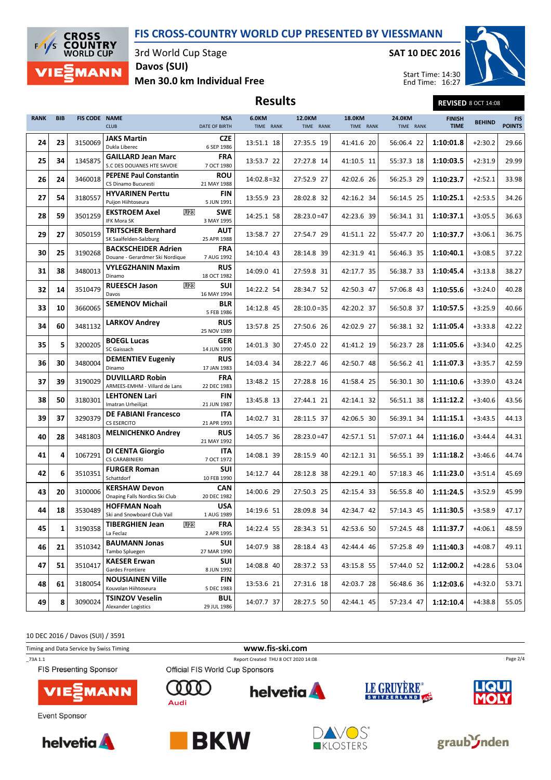### FIS CROSS-COUNTRY WORLD CUP PRESENTED BY VIESSMANN



3rd World Cup Stage

Men 30.0 km Individual Free Davos (SUI)

SAT 10 DEC 2016



Start Time: 14:30 End Time: 16:27

Results Revised 8 OCT 14:08

| <b>RANK</b> | <b>BIB</b> | FIS CODE NAME | <b>CLUB</b>                                                   | <b>NSA</b><br><b>DATE OF BIRTH</b> | 6.0KM<br>TIME RANK | 12.0KM<br>TIME RANK | <b>18.0KM</b><br>TIME RANK | 24.0KM<br>TIME RANK | <b>FINISH</b><br><b>TIME</b> | <b>BEHIND</b> | <b>FIS</b><br><b>POINTS</b> |
|-------------|------------|---------------|---------------------------------------------------------------|------------------------------------|--------------------|---------------------|----------------------------|---------------------|------------------------------|---------------|-----------------------------|
| 24          | 23         | 3150069       | <b>JAKS Martin</b><br>Dukla Liberec                           | <b>CZE</b><br>6 SEP 1986           | 13:51.1 18         | 27:35.5 19          | 41:41.6 20                 | 56:06.4 22          | 1:10:01.8                    | $+2:30.2$     | 29.66                       |
| 25          | 34         | 1345875       | <b>GAILLARD Jean Marc</b><br>S.C DES DOUANES HTE SAVOIE       | <b>FRA</b><br>7 OCT 1980           | 13:53.7 22         | 27:27.8 14          | 41:10.5 11                 | 55:37.3 18          | 1:10:03.5                    | $+2:31.9$     | 29.99                       |
| 26          | 24         | 3460018       | <b>PEPENE Paul Constantin</b><br>CS Dinamo Bucuresti          | <b>ROU</b><br>21 MAY 1988          | $14:02.8=32$       | 27:52.9 27          | 42:02.6 26                 | 56:25.3 29          | 1:10:23.7                    | $+2:52.1$     | 33.98                       |
| 27          | 54         | 3180557       | <b>HYVARINEN Perttu</b><br>Puijon Hiihtoseura                 | <b>FIN</b><br>5 JUN 1991           | 13:55.9 23         | 28:02.8 32          | 42:16.2 34                 | 56:14.5 25          | 1:10:25.1                    | $+2:53.5$     | 34.26                       |
| 28          | 59         | 3501259       | <b>U23</b><br><b>EKSTROEM Axel</b><br>IFK Mora SK             | <b>SWE</b><br>3 MAY 1995           | 14:25.1 58         | $28:23.0=47$        | 42:23.6 39                 | 56:34.1 31          | 1:10:37.1                    | $+3:05.5$     | 36.63                       |
| 29          | 27         | 3050159       | <b>TRITSCHER Bernhard</b><br>SK Saalfelden-Salzburg           | <b>AUT</b><br>25 APR 1988          | 13:58.7 27         | 27:54.7 29          | 41:51.1 22                 | 55:47.7 20          | 1:10:37.7                    | $+3:06.1$     | 36.75                       |
| 30          | 25         | 3190268       | <b>BACKSCHEIDER Adrien</b><br>Douane - Gerardmer Ski Nordique | <b>FRA</b><br>7 AUG 1992           | 14:10.4 43         | 28:14.8 39          | 42:31.9 41                 | 56:46.3 35          | 1:10:40.1                    | $+3:08.5$     | 37.22                       |
| 31          | 38         | 3480013       | <b>VYLEGZHANIN Maxim</b><br>Dinamo                            | <b>RUS</b><br>18 OCT 1982          | 14:09.0 41         | 27:59.8 31          | 42:17.7 35                 | 56:38.7 33          | 1:10:45.4                    | $+3:13.8$     | 38.27                       |
| 32          | 14         | 3510479       | <b>RUEESCH Jason</b><br><b>U23</b><br>Davos                   | SUI<br>16 MAY 1994                 | 14:22.2 54         | 28:34.7 52          | 42:50.3 47                 | 57:06.8 43          | 1:10:55.6                    | $+3:24.0$     | 40.28                       |
| 33          | 10         | 3660065       | <b>SEMENOV Michail</b>                                        | <b>BLR</b><br>5 FEB 1986           | 14:12.8 45         | $28:10.0=35$        | 42:20.2 37                 | 56:50.8 37          | 1:10:57.5                    | $+3:25.9$     | 40.66                       |
| 34          | 60         | 3481132       | <b>LARKOV Andrey</b>                                          | <b>RUS</b><br>25 NOV 1989          | 13:57.8 25         | 27:50.6 26          | 42:02.9 27                 | 56:38.1 32          | 1:11:05.4                    | $+3:33.8$     | 42.22                       |
| 35          | 5          | 3200205       | <b>BOEGL Lucas</b><br>SC Gaissach                             | <b>GER</b><br>14 JUN 1990          | 14:01.3 30         | 27:45.0 22          | 41:41.2 19                 | 56:23.7 28          | 1:11:05.6                    | $+3:34.0$     | 42.25                       |
| 36          | 30         | 3480004       | <b>DEMENTIEV Eugeniv</b><br>Dinamo                            | <b>RUS</b><br>17 JAN 1983          | 14:03.4 34         | 28:22.7 46          | 42:50.7 48                 | 56:56.2 41          | 1:11:07.3                    | $+3:35.7$     | 42.59                       |
| 37          | 39         | 3190029       | <b>DUVILLARD Robin</b><br>ARMEES-EMHM - Villard de Lans       | <b>FRA</b><br>22 DEC 1983          | 13:48.2 15         | 27:28.8 16          | 41:58.4 25                 | 56:30.1 30          | 1:11:10.6                    | $+3:39.0$     | 43.24                       |
| 38          | 50         | 3180301       | <b>LEHTONEN Lari</b><br>Imatran Urheilijat                    | FIN<br>21 JUN 1987                 | 13:45.8 13         | 27:44.1 21          | 42:14.1 32                 | 56:51.1 38          | 1:11:12.2                    | $+3:40.6$     | 43.56                       |
| 39          | 37         | 3290379       | <b>DE FABIANI Francesco</b><br><b>CS ESERCITO</b>             | <b>ITA</b><br>21 APR 1993          | 14:02.7 31         | 28:11.5 37          | 42:06.5 30                 | 56:39.1 34          | 1:11:15.1                    | $+3:43.5$     | 44.13                       |
| 40          | 28         | 3481803       | <b>MELNICHENKO Andrey</b>                                     | <b>RUS</b><br>21 MAY 1992          | 14:05.7 36         | $28:23.0=47$        | 42:57.1 51                 | 57:07.1 44          | 1:11:16.0                    | $+3:44.4$     | 44.31                       |
| 41          | 4          | 1067291       | <b>DI CENTA Giorgio</b><br>CS CARABINIERI                     | ITA<br>7 OCT 1972                  | 14:08.1 39         | 28:15.9 40          | 42:12.1 31                 | 56:55.1 39          | 1:11:18.2                    | $+3:46.6$     | 44.74                       |
| 42          | 6          | 3510351       | <b>FURGER Roman</b><br>Schattdorf                             | <b>SUI</b><br>10 FEB 1990          | 14:12.7 44         | 28:12.8 38          | 42:29.1 40                 | 57:18.3 46          | 1:11:23.0                    | $+3:51.4$     | 45.69                       |
| 43          | 20         | 3100006       | <b>KERSHAW Devon</b><br>Onaping Falls Nordics Ski Club        | <b>CAN</b><br>20 DEC 1982          | 14:00.6 29         | 27:50.3 25          | 42:15.4 33                 | 56:55.8 40          | 1:11:24.5                    | $+3:52.9$     | 45.99                       |
| 44          | 18         | 3530489       | <b>HOFFMAN Noah</b><br>Ski and Snowboard Club Vail            | <b>USA</b><br>1 AUG 1989           | 14:19.6 51         | 28:09.8 34          | 42:34.7 42                 | 57:14.3 45          | 1:11:30.5                    | $+3:58.9$     | 47.17                       |
| 45          | 1          | 3190358       | <b>TIBERGHIEN Jean</b><br><b>U23</b><br>La Feclaz             | <b>FRA</b><br>2 APR 1995           | 14:22.4 55         | 28:34.3 51          | 42:53.6 50                 | 57:24.5 48          | 1:11:37.7                    | $+4:06.1$     | 48.59                       |
| 46          | 21         | 3510342       | <b>BAUMANN Jonas</b><br>Tambo Spluegen                        | <b>SUI</b><br>27 MAR 1990          | 14:07.9 38         | 28:18.4 43          | 42:44.4 46                 | 57:25.8 49          | 1:11:40.3                    | $+4:08.7$     | 49.11                       |
| 47          | 51         | 3510417       | <b>KAESER Erwan</b><br>Gardes Frontiere                       | SUI<br>8 JUN 1992                  | 14:08.8 40         | 28:37.2 53          | 43:15.8 55                 | 57:44.0 52          | 1:12:00.2                    | $+4:28.6$     | 53.04                       |
| 48          | 61         | 3180054       | <b>NOUSIAINEN Ville</b><br>Kouvolan Hiihtoseura               | FIN<br>5 DEC 1983                  | 13:53.6 21         | 27:31.6 18          | 42:03.7 28                 | 56:48.6 36          | 1:12:03.6                    | $+4:32.0$     | 53.71                       |
| 49          | 8          | 3090024       | <b>TSINZOV Veselin</b><br>Alexander Logistics                 | <b>BUL</b><br>29 JUL 1986          | 14:07.7 37         | 28:27.5 50          | 42:44.1 45                 | 57:23.4 47          | 1:12:10.4                    | $+4:38.8$     | 55.05                       |

10 DEC 2016 / Davos (SUI) / 3591













Page 2/4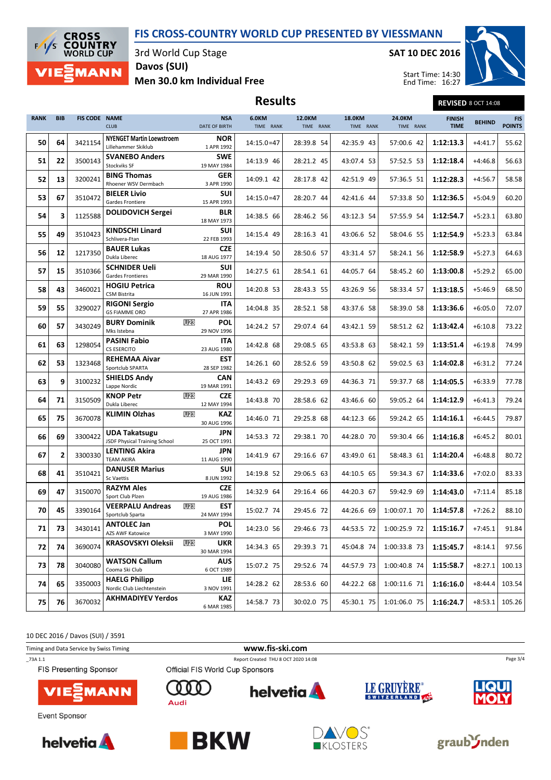### FIS CROSS-COUNTRY WORLD CUP PRESENTED BY VIESSMANN



3rd World Cup Stage

Davos (SUI)

SAT 10 DEC 2016



Men 30.0 km Individual Free

| <b>Results</b> | <b>REVISED 8 OCT 14:08</b> |
|----------------|----------------------------|
|----------------|----------------------------|

| <b>RANK</b> | <b>BIB</b> | FIS CODE NAME | <b>CLUB</b>                                                    | <b>NSA</b><br><b>DATE OF BIRTH</b> | 6.0KM<br>TIME RANK | 12.0KM<br>TIME RANK | 18.0KM<br>TIME RANK | 24.0KM<br>TIME RANK | <b>FINISH</b><br><b>TIME</b> | <b>BEHIND</b> | <b>FIS</b><br><b>POINTS</b> |
|-------------|------------|---------------|----------------------------------------------------------------|------------------------------------|--------------------|---------------------|---------------------|---------------------|------------------------------|---------------|-----------------------------|
| 50          | 64         | 3421154       | <b>NYENGET Martin Loewstroem</b><br>Lillehammer Skiklub        | <b>NOR</b><br>1 APR 1992           | $14:15.0=47$       | 28:39.8 54          | 42:35.9 43          | 57:00.6 42          | 1:12:13.3                    | $+4:41.7$     | 55.62                       |
| 51          | 22         | 3500143       | <b>SVANEBO Anders</b><br><b>Stockviks SF</b>                   | <b>SWE</b><br>19 MAY 1984          | 14:13.9 46         | 28:21.2 45          | 43:07.4 53          | 57:52.5 53          | 1:12:18.4                    | $+4:46.8$     | 56.63                       |
| 52          | 13         | 3200241       | <b>BING Thomas</b><br>Rhoener WSV Dermbach                     | GER<br>3 APR 1990                  | 14:09.1 42         | 28:17.8 42          | 42:51.9 49          | 57:36.5 51          | 1:12:28.3                    | $+4:56.7$     | 58.58                       |
| 53          | 67         | 3510472       | <b>BIELER Livio</b><br>Gardes Frontiere                        | <b>SUI</b><br>15 APR 1993          | $14:15.0=47$       | 28:20.7 44          | 42:41.6 44          | 57:33.8 50          | 1:12:36.5                    | $+5:04.9$     | 60.20                       |
| 54          | 3          | 1125588       | <b>DOLIDOVICH Sergei</b>                                       | <b>BLR</b><br>18 MAY 1973          | 14:38.5 66         | 28:46.2 56          | 43:12.3 54          | 57:55.9 54          | 1:12:54.7                    | $+5:23.1$     | 63.80                       |
| 55          | 49         | 3510423       | <b>KINDSCHI Linard</b><br>Schlivera-Ftan                       | <b>SUI</b><br>22 FEB 1993          | 14:15.4 49         | 28:16.3 41          | 43:06.6 52          | 58:04.6 55          | 1:12:54.9                    | $+5:23.3$     | 63.84                       |
| 56          | 12         | 1217350       | <b>BAUER Lukas</b><br>Dukla Liberec                            | <b>CZE</b><br>18 AUG 1977          | 14:19.4 50         | 28:50.6 57          | 43:31.4 57          | 58:24.1 56          | 1:12:58.9                    | $+5:27.3$     | 64.63                       |
| 57          | 15         | 3510366       | <b>SCHNIDER Ueli</b><br>Gardes Frontieres                      | <b>SUI</b><br>29 MAR 1990          | 14:27.5 61         | 28:54.1 61          | 44:05.7 64          | 58:45.2 60          | 1:13:00.8                    | $+5:29.2$     | 65.00                       |
| 58          | 43         | 3460021       | <b>HOGIU Petrica</b><br><b>CSM Bistrita</b>                    | <b>ROU</b><br>16 JUN 1991          | 14:20.8 53         | 28:43.3 55          | 43:26.9 56          | 58:33.4 57          | 1:13:18.5                    | $+5:46.9$     | 68.50                       |
| 59          | 55         | 3290027       | <b>RIGONI Sergio</b><br><b>GS FIAMME ORO</b>                   | ITA<br>27 APR 1986                 | 14:04.8 35         | 28:52.1 58          | 43:37.6 58          | 58:39.0 58          | 1:13:36.6                    | $+6:05.0$     | 72.07                       |
| 60          | 57         | 3430249       | <b>BURY Dominik</b><br>U <sub>23</sub><br>Mks Istebna          | POL<br>29 NOV 1996                 | 14:24.2 57         | 29:07.4 64          | 43:42.1 59          | 58:51.2 62          | 1:13:42.4                    | $+6:10.8$     | 73.22                       |
| 61          | 63         | 1298054       | <b>PASINI Fabio</b><br>CS ESERCITO                             | ITA<br>23 AUG 1980                 | 14:42.8 68         | 29:08.5 65          | 43:53.8 63          | 58:42.1 59          | 1:13:51.4                    | $+6:19.8$     | 74.99                       |
| 62          | 53         | 1323468       | <b>REHEMAA Aivar</b><br>Sportclub SPARTA                       | <b>EST</b><br>28 SEP 1982          | 14:26.1 60         | 28:52.6 59          | 43:50.8 62          | 59:02.5 63          | 1:14:02.8                    | $+6:31.2$     | 77.24                       |
| 63          | 9          | 3100232       | <b>SHIELDS Andy</b><br>Lappe Nordic                            | <b>CAN</b><br>19 MAR 1991          | 14:43.2 69         | 29:29.3 69          | 44:36.3 71          | 59:37.7 68          | 1:14:05.5                    | $+6:33.9$     | 77.78                       |
| 64          | 71         | 3150509       | <b>U23</b><br><b>KNOP Petr</b><br>Dukla Liberec                | <b>CZE</b><br>12 MAY 1994          | 14:43.8 70         | 28:58.6 62          | 43:46.6 60          | 59:05.2 64          | 1:14:12.9                    | $+6:41.3$     | 79.24                       |
| 65          | 75         | 3670078       | <b>KLIMIN Olzhas</b><br><b>U23</b>                             | <b>KAZ</b><br>30 AUG 1996          | 14:46.0 71         | 29:25.8 68          | 44:12.3 66          | 59:24.2 65          | 1:14:16.1                    | $+6:44.5$     | 79.87                       |
| 66          | 69         | 3300422       | <b>UDA Takatsugu</b><br>JSDF Physical Training School          | JPN<br>25 OCT 1991                 | 14:53.3 72         | 29:38.1 70          | 44:28.0 70          | 59:30.4 66          | 1:14:16.8                    | $+6:45.2$     | 80.01                       |
| 67          | 2          | 3300330       | <b>LENTING Akira</b><br><b>TEAM AKIRA</b>                      | <b>JPN</b><br>11 AUG 1990          | 14:41.9 67         | 29:16.6 67          | 43:49.0 61          | 58:48.3 61          | 1:14:20.4                    | $+6:48.8$     | 80.72                       |
| 68          | 41         | 3510421       | <b>DANUSER Marius</b><br><b>Sc Vaettis</b>                     | <b>SUI</b><br>8 JUN 1992           | 14:19.8 52         | 29:06.5 63          | 44:10.5 65          | 59:34.3 67          | 1:14:33.6                    | $+7:02.0$     | 83.33                       |
| 69          | 47         | 3150070       | <b>RAZYM Ales</b><br>Sport Club Plzen                          | <b>CZE</b><br>19 AUG 1986          | 14:32.9 64         | 29:16.4 66          | 44:20.3 67          | 59:42.9 69          | 1:14:43.0                    | $+7:11.4$     | 85.18                       |
| 70          | 45         | 3390164       | <b>VEERPALU Andreas</b><br>U <sub>23</sub><br>Sportclub Sparta | <b>EST</b><br>24 MAY 1994          | 15:02.7 74         | 29:45.6 72          | 44:26.6 69          | 1:00:07.1 70        | 1:14:57.8                    | $+7:26.2$     | 88.10                       |
| 71          | 73         | 3430141       | <b>ANTOLEC Jan</b><br>AZS AWF Katowice                         | <b>POL</b><br>3 MAY 1990           | 14:23.0 56         | 29:46.6 73          | 44:53.5 72          | 1:00:25.9 72        | 1:15:16.7                    | $+7:45.1$     | 91.84                       |
| 72          | 74         | 3690074       | <b>KRASOVSKYI Oleksii</b><br>U <sub>23</sub>                   | <b>UKR</b><br>30 MAR 1994          | 14:34.3 65         | 29:39.3 71          | 45:04.8 74          | 1:00:33.8 73        | 1:15:45.7                    | $+8:14.1$     | 97.56                       |
| 73          | 78         | 3040080       | <b>WATSON Callum</b><br>Cooma Ski Club                         | <b>AUS</b><br>6 OCT 1989           | 15:07.2 75         | 29:52.6 74          | 44:57.9 73          | 1:00:40.8 74        | 1:15:58.7                    | $+8:27.1$     | 100.13                      |
| 74          | 65         | 3350003       | <b>HAELG Philipp</b><br>Nordic Club Liechtenstein              | LIE<br>3 NOV 1991                  | 14:28.2 62         | 28:53.6 60          | 44:22.2 68          | 1:00:11.6 71        | 1:16:16.0                    | $+8:44.4$     | 103.54                      |
| 75          | 76         | 3670032       | <b>AKHMADIYEV Yerdos</b>                                       | KAZ<br>6 MAR 1985                  | 14:58.7 73         | 30:02.0 75          | 45:30.1 75          | 1:01:06.0 75        | 1:16:24.7                    | $+8:53.1$     | 105.26                      |

10 DEC 2016 / Davos (SUI) / 3591



\_73A 1.1 Report Created THU 8 OCT 2020 14:08

FIS Presenting Sponsor



**Event Sponsor** 





 $0<sub>0</sub>$ 

Ω

Audi

Official FIS World Cup Sponsors



**helvetia** 

LE GRUYÈRE®